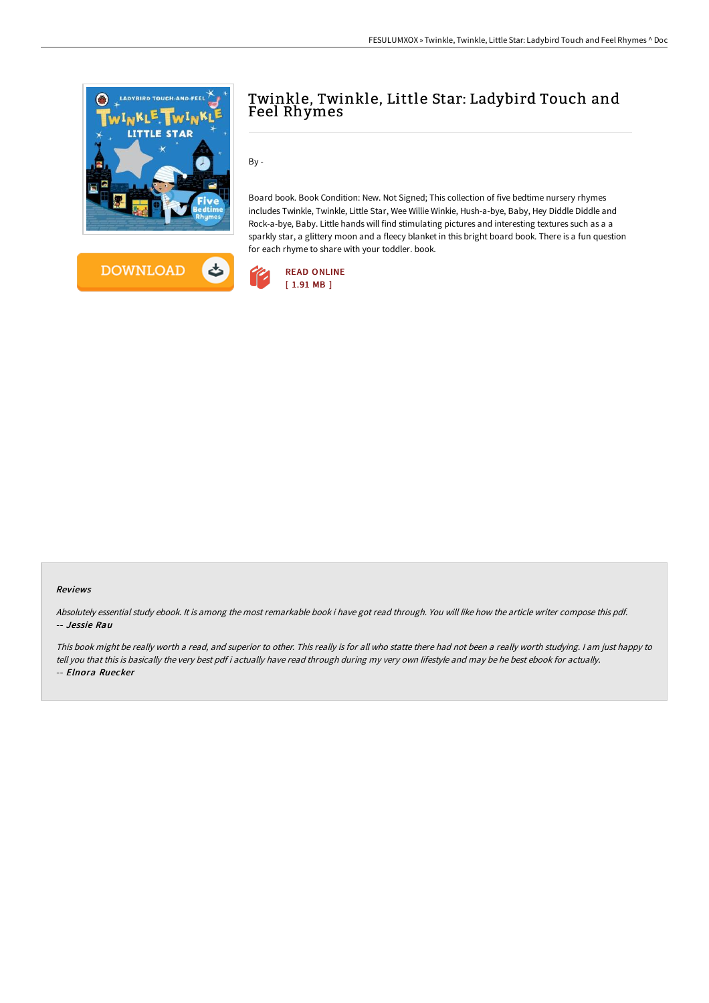



# Twinkle, Twinkle, Little Star: Ladybird Touch and Feel Rhymes

By -

Board book. Book Condition: New. Not Signed; This collection of five bedtime nursery rhymes includes Twinkle, Twinkle, Little Star, Wee Willie Winkie, Hush-a-bye, Baby, Hey Diddle Diddle and Rock-a-bye, Baby. Little hands will find stimulating pictures and interesting textures such as a a sparkly star, a glittery moon and a fleecy blanket in this bright board book. There is a fun question for each rhyme to share with your toddler. book.



## Reviews

Absolutely essential study ebook. It is among the most remarkable book i have got read through. You will like how the article writer compose this pdf. -- Jessie Rau

This book might be really worth <sup>a</sup> read, and superior to other. This really is for all who statte there had not been <sup>a</sup> really worth studying. <sup>I</sup> am just happy to tell you that this is basically the very best pdf i actually have read through during my very own lifestyle and may be he best ebook for actually. -- Elnora Ruecker